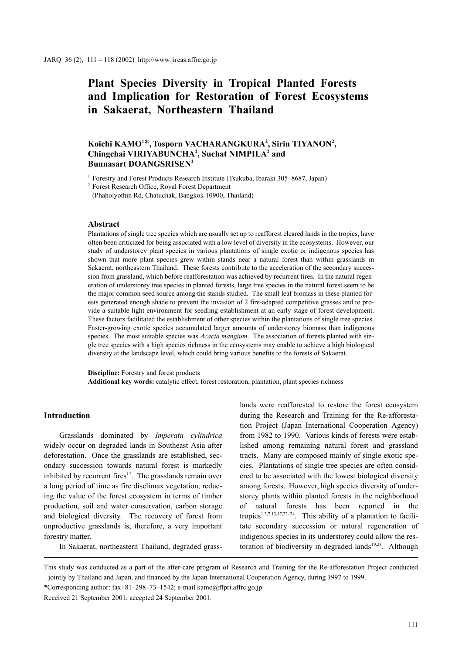# **Plant Species Diversity in Tropical Planted Forests and Implication for Restoration of Forest Ecosystems in Sakaerat, Northeastern Thailand**

# **Koichi KAMO1** \***,Tosporn VACHARANGKURA2 , Sirin TIYANON2 ,** Chingchai VIRIYABUNCHA<sup>2</sup>, Suchat NIMPILA<sup>2</sup> and **Bunnasart DOANGSRISEN2**

<sup>1</sup> Forestry and Forest Products Research Institute (Tsukuba, Ibaraki 305–8687, Japan)

<sup>2</sup> Forest Research Office, Royal Forest Department

(Phaholyothin Rd, Chatuchak, Bangkok 10900, Thailand)

#### **Abstract**

Plantations of single tree species which are usually set up to reafforest cleared lands in the tropics, have often been criticized for being associated with a low level of diversity in the ecosystems. However, our study of understorey plant species in various plantations of single exotic or indigenous species has shown that more plant species grew within stands near a natural forest than within grasslands in Sakaerat, northeastern Thailand. These forests contribute to the acceleration of the secondary succession from grassland, which before reafforestation was achieved by recurrent fires. In the natural regeneration of understorey tree species in planted forests, large tree species in the natural forest seem to be the major common seed source among the stands studied. The small leaf biomass in these planted forests generated enough shade to prevent the invasion of 2 fire-adapted competitive grasses and to provide a suitable light environment for seedling establishment at an early stage of forest development. These factors facilitated the establishment of other species within the plantations of single tree species. Faster-growing exotic species accumulated larger amounts of understorey biomass than indigenous species. The most suitable species was *Acacia mangium*. The association of forests planted with single tree species with a high species richness in the ecosystems may enable to achieve a high biological diversity at the landscape level, which could bring various benefits to the forests of Sakaerat.

**Discipline:** Forestry and forest products **Additional key words:** catalytic effect, forest restoration, plantation, plant species richness

# **Introduction**

Grasslands dominated by *Imperata cylindrica* widely occur on degraded lands in Southeast Asia after deforestation. Once the grasslands are established, secondary succession towards natural forest is markedly inhibited by recurrent fires<sup>17</sup>. The grasslands remain over a long period of time as fire disclimax vegetation, reducing the value of the forest ecosystem in terms of timber production, soil and water conservation, carbon storage and biological diversity. The recovery of forest from unproductive grasslands is, therefore, a very important forestry matter.

lands were reafforested to restore the forest ecosystem during the Research and Training for the Re-afforestation Project (Japan International Cooperation Agency) from 1982 to 1990. Various kinds of forests were established among remaining natural forest and grassland tracts. Many are composed mainly of single exotic species. Plantations of single tree species are often considered to be associated with the lowest biological diversity among forests. However, high species diversity of understorey plants within planted forests in the neighborhood of natural forests has been reported in the tropics<sup>1,3,7,13,17,22-24</sup>. This ability of a plantation to facilitate secondary succession or natural regeneration of indigenous species in its understorey could allow the restoration of biodiversity in degraded lands<sup>19,23</sup>. Although

In Sakaerat, northeastern Thailand, degraded grass-

This study was conducted as a part of the after-care program of Research and Training for the Re-afforestation Project conducted jointly by Thailand and Japan, and financed by the Japan International Cooperation Agency, during 1997 to 1999.

\*Corresponding author: fax+81–298–73–1542; e-mail kamo@ffpri.affrc.go.jp

Received 21 September 2001; accepted 24 September 2001.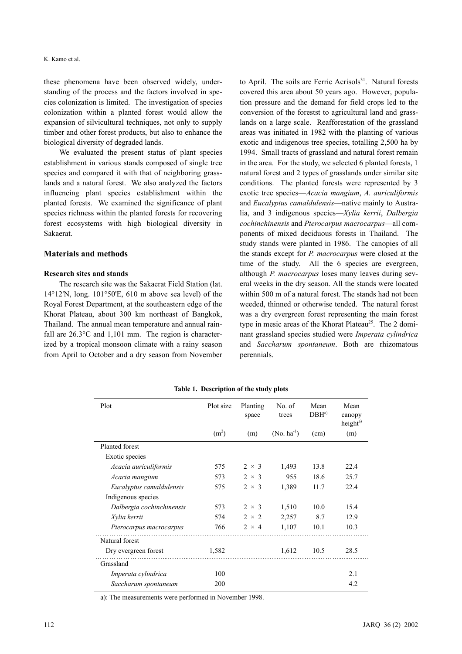these phenomena have been observed widely, understanding of the process and the factors involved in species colonization is limited. The investigation of species colonization within a planted forest would allow the expansion of silvicultural techniques, not only to supply timber and other forest products, but also to enhance the biological diversity of degraded lands.

We evaluated the present status of plant species establishment in various stands composed of single tree species and compared it with that of neighboring grasslands and a natural forest. We also analyzed the factors influencing plant species establishment within the planted forests. We examined the significance of plant species richness within the planted forests for recovering forest ecosystems with high biological diversity in Sakaerat.

## **Materials and methods**

## **Research sites and stands**

The research site was the Sakaerat Field Station (lat. 14°12'N, long. 101°50'E, 610 m above sea level) of the Royal Forest Department, at the southeastern edge of the Khorat Plateau, about 300 km northeast of Bangkok, Thailand. The annual mean temperature and annual rainfall are  $26.3^{\circ}$ C and 1,101 mm. The region is characterized by a tropical monsoon climate with a rainy season from April to October and a dry season from November to April. The soils are Ferric Acrisols<sup>31</sup>. Natural forests covered this area about 50 years ago. However, population pressure and the demand for field crops led to the conversion of the forestst to agricultural land and grasslands on a large scale. Reafforestation of the grassland areas was initiated in 1982 with the planting of various exotic and indigenous tree species, totalling 2,500 ha by 1994. Small tracts of grassland and natural forest remain in the area. For the study, we selected 6 planted forests, 1 natural forest and 2 types of grasslands under similar site conditions. The planted forests were represented by 3 exotic tree species—*Acacia mangium*, *A. auriculiformis* and *Eucalyptus camaldulensis*—native mainly to Australia, and 3 indigenous species—*Xylia kerrii*, *Dalbergia cochinchinensis* and *Pterocarpus macrocarpus*—all components of mixed deciduous forests in Thailand. The study stands were planted in 1986. The canopies of all the stands except for *P. macrocarpus* were closed at the time of the study. All the 6 species are evergreen, although *P. macrocarpus* loses many leaves during several weeks in the dry season. All the stands were located within 500 m of a natural forest. The stands had not been weeded, thinned or otherwise tended. The natural forest was a dry evergreen forest representing the main forest type in mesic areas of the Khorat Plateau<sup>25</sup>. The 2 dominant grassland species studied were *Imperata cylindrica* and *Saccharum spontaneum*. Both are rhizomatous perennials.

| Plot size         | Planting<br>space | No. of<br>trees | Mean<br>DBH <sub>a</sub> | Mean<br>canopy<br>height <sup>a)</sup> |
|-------------------|-------------------|-----------------|--------------------------|----------------------------------------|
| (m <sup>2</sup> ) | (m)               | $(No. ha^{-1})$ | (cm)                     | (m)                                    |
|                   |                   |                 |                          |                                        |
|                   |                   |                 |                          |                                        |
| 575               | $2 \times 3$      | 1,493           | 13.8                     | 22.4                                   |
| 573               | $2 \times 3$      | 955             | 18.6                     | 25.7                                   |
| 575               | $2 \times 3$      | 1,389           | 11.7                     | 22.4                                   |
|                   |                   |                 |                          |                                        |
| 573               | $2 \times 3$      | 1,510           | 10.0                     | 15.4                                   |
| 574               | $2 \times 2$      | 2,257           | 87                       | 12.9                                   |
| 766               | $2 \times 4$      | 1,107           | 10.1                     | 10.3                                   |
|                   |                   |                 |                          |                                        |
| 1,582             |                   | 1,612           | 10.5                     | 28.5                                   |
|                   |                   |                 |                          |                                        |
| 100               |                   |                 |                          | 2.1                                    |
| 200               |                   |                 |                          | 42                                     |
|                   |                   |                 |                          |                                        |

**Table 1. Description of the study plots**

a): The measurements were performed in November 1998.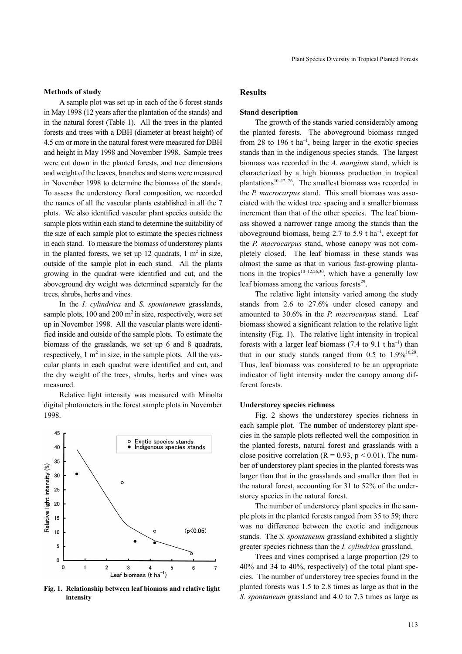#### **Methods of study**

A sample plot was set up in each of the 6 forest stands in May 1998 (12 years after the plantation of the stands) and in the natural forest (Table 1). All the trees in the planted forests and trees with a DBH (diameter at breast height) of 4.5 cm or more in the natural forest were measured for DBH and height in May 1998 and November 1998. Sample trees were cut down in the planted forests, and tree dimensions and weight of the leaves, branches and stems were measured in November 1998 to determine the biomass of the stands. To assess the understorey floral composition, we recorded the names of all the vascular plants established in all the 7 plots. We also identified vascular plant species outside the sample plots within each stand to determine the suitability of the size of each sample plot to estimate the species richness in each stand. To measure the biomass of understorey plants in the planted forests, we set up 12 quadrats,  $1 \text{ m}^2$  in size, outside of the sample plot in each stand. All the plants growing in the quadrat were identified and cut, and the aboveground dry weight was determined separately for the trees, shrubs, herbs and vines.

In the *I. cylindrica* and *S. spontaneum* grasslands, sample plots,  $100$  and  $200$  m<sup>2</sup> in size, respectively, were set up in November 1998. All the vascular plants were identified inside and outside of the sample plots. To estimate the biomass of the grasslands, we set up 6 and 8 quadrats, respectively,  $1 \text{ m}^2$  in size, in the sample plots. All the vascular plants in each quadrat were identified and cut, and the dry weight of the trees, shrubs, herbs and vines was measured.

Relative light intensity was measured with Minolta digital photometers in the forest sample plots in November 1998.



**Fig. 1. Relationship between leaf biomass and relative light intensity**

## **Results**

#### **Stand description**

The growth of the stands varied considerably among the planted forests. The aboveground biomass ranged from 28 to 196 t ha<sup>-1</sup>, being larger in the exotic species stands than in the indigenous species stands. The largest biomass was recorded in the *A. mangium* stand, which is characterized by a high biomass production in tropical plantations<sup>10–12, 26</sup>. The smallest biomass was recorded in the *P. macrocarpus* stand. This small biomass was associated with the widest tree spacing and a smaller biomass increment than that of the other species. The leaf biomass showed a narrower range among the stands than the aboveground biomass, being 2.7 to 5.9 t ha<sup>-1</sup>, except for the *P. macrocarpus* stand, whose canopy was not completely closed. The leaf biomass in these stands was almost the same as that in various fast-growing plantations in the tropics<sup>10–12,26,30</sup>, which have a generally low leaf biomass among the various forests $29$ .

The relative light intensity varied among the study stands from 2.6 to 27.6% under closed canopy and amounted to 30.6% in the *P. macrocarpus* stand. Leaf biomass showed a significant relation to the relative light intensity (Fig. 1). The relative light intensity in tropical forests with a larger leaf biomass  $(7.4 \text{ to } 9.1 \text{ t ha}^{-1})$  than that in our study stands ranged from  $0.5$  to  $1.9\%$ <sup>16,20</sup>. Thus, leaf biomass was considered to be an appropriate indicator of light intensity under the canopy among different forests.

#### **Understorey species richness**

Fig. 2 shows the understorey species richness in each sample plot. The number of understorey plant species in the sample plots reflected well the composition in the planted forests, natural forest and grasslands with a close positive correlation ( $R = 0.93$ ,  $p < 0.01$ ). The number of understorey plant species in the planted forests was larger than that in the grasslands and smaller than that in the natural forest, accounting for 31 to 52% of the understorey species in the natural forest.

The number of understorey plant species in the sample plots in the planted forests ranged from 35 to 59; there was no difference between the exotic and indigenous stands. The *S. spontaneum* grassland exhibited a slightly greater species richness than the *I. cylindrica* grassland.

Trees and vines comprised a large proportion (29 to 40% and 34 to 40%, respectively) of the total plant species. The number of understorey tree species found in the planted forests was 1.5 to 2.8 times as large as that in the *S. spontaneum* grassland and 4.0 to 7.3 times as large as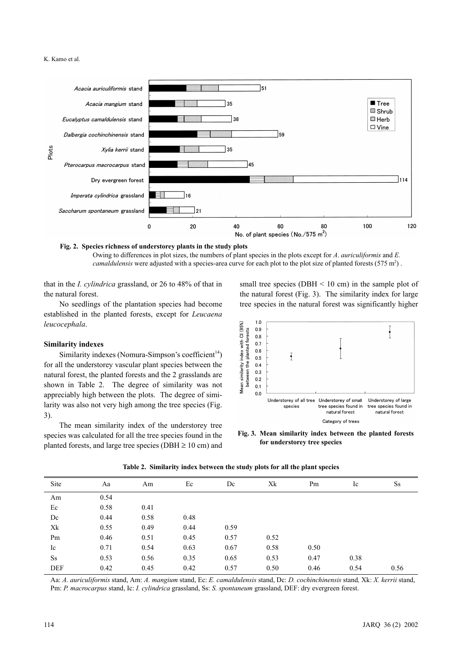

**Fig. 2. Species richness of understorey plants in the study plots** Owing to differences in plot sizes, the numbers of plant species in the plots except for *A*. *auriculiformis* and *E. camaldulensis* were adjusted with a species-area curve for each plot to the plot size of planted forests (575 m<sup>2</sup>).

that in the *I. cylindrica* grassland, or 26 to 48% of that in the natural forest.

No seedlings of the plantation species had become established in the planted forests, except for *Leucaena leucocephala*.

#### **Similarity indexes**

Similarity indexes (Nomura-Simpson's coefficient $14$ ) for all the understorey vascular plant species between the natural forest, the planted forests and the 2 grasslands are shown in Table 2. The degree of similarity was not appreciably high between the plots. The degree of similarity was also not very high among the tree species (Fig. 3).

The mean similarity index of the understorey tree species was calculated for all the tree species found in the planted forests, and large tree species (DBH  $\geq 10$  cm) and small tree species (DBH  $\leq$  10 cm) in the sample plot of the natural forest (Fig. 3). The similarity index for large tree species in the natural forest was significantly higher



**Fig. 3. Mean similarity index between the planted forests for understorey tree species**

| Site | Aa   | Am   | Ec   | Dc   | Xk   | Pm   | Ic   | <b>Ss</b> |
|------|------|------|------|------|------|------|------|-----------|
| Am   | 0.54 |      |      |      |      |      |      |           |
| Ec   | 0.58 | 0.41 |      |      |      |      |      |           |
| Dc   | 0.44 | 0.58 | 0.48 |      |      |      |      |           |
| Xk   | 0.55 | 0.49 | 0.44 | 0.59 |      |      |      |           |
| Pm   | 0.46 | 0.51 | 0.45 | 0.57 | 0.52 |      |      |           |
| Ic   | 0.71 | 0.54 | 0.63 | 0.67 | 0.58 | 0.50 |      |           |
| Ss   | 0.53 | 0.56 | 0.35 | 0.65 | 0.53 | 0.47 | 0.38 |           |
| DEF  | 0.42 | 0.45 | 0.42 | 0.57 | 0.50 | 0.46 | 0.54 | 0.56      |
|      |      |      |      |      |      |      |      |           |

**Table 2. Similarity index between the study plots for all the plant species** 

Aa: *A. auriculiformis* stand, Am: *A. mangium* stand, Ec: *E. camaldulensis* stand, Dc: *D. cochinchinensis* stand*,* Xk: *X. kerrii* stand, Pm: *P. macrocarpus* stand, Ic: *I. cylindrica* grassland, Ss: *S. spontaneum* grassland, DEF: dry evergreen forest.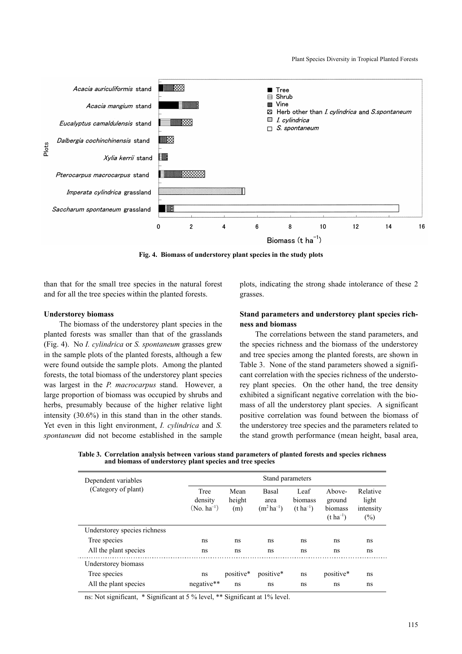Plant Species Diversity in Tropical Planted Forests



**Fig. 4. Biomass of understorey plant species in the study plots**

than that for the small tree species in the natural forest and for all the tree species within the planted forests.

## **Understorey biomass**

The biomass of the understorey plant species in the planted forests was smaller than that of the grasslands (Fig. 4). No *I. cylindrica* or *S. spontaneum* grasses grew in the sample plots of the planted forests, although a few were found outside the sample plots. Among the planted forests, the total biomass of the understorey plant species was largest in the *P. macrocarpus* stand. However, a large proportion of biomass was occupied by shrubs and herbs, presumably because of the higher relative light intensity (30.6%) in this stand than in the other stands. Yet even in this light environment, *I. cylindrica* and *S. spontaneum* did not become established in the sample plots, indicating the strong shade intolerance of these 2 grasses.

# **Stand parameters and understorey plant species richness and biomass**

The correlations between the stand parameters, and the species richness and the biomass of the understorey and tree species among the planted forests, are shown in Table 3. None of the stand parameters showed a significant correlation with the species richness of the understorey plant species. On the other hand, the tree density exhibited a significant negative correlation with the biomass of all the understorey plant species. A significant positive correlation was found between the biomass of the understorey tree species and the parameters related to the stand growth performance (mean height, basal area,

**Table 3. Correlation analysis between various stand parameters of planted forests and species richness and biomass of understorey plant species and tree species**

| Dependent variables          | Stand parameters                   |                       |                                  |                                     |                                                      |                                       |  |
|------------------------------|------------------------------------|-----------------------|----------------------------------|-------------------------------------|------------------------------------------------------|---------------------------------------|--|
| (Category of plant)          | Tree<br>density<br>$(No, ha^{-1})$ | Mean<br>height<br>(m) | Basal<br>area<br>$(m^2 ha^{-1})$ | Leaf<br>biomass<br>$(t \, ha^{-1})$ | Above-<br>ground<br>biomass<br>$(t \text{ ha}^{-1})$ | Relative<br>light<br>intensity<br>(%) |  |
| Understorey species richness |                                    |                       |                                  |                                     |                                                      |                                       |  |
| Tree species                 | ns                                 | ns                    | ns                               | ns                                  | ns                                                   | ns                                    |  |
| All the plant species        | ns                                 | ns                    | ns                               | ns                                  | ns                                                   | ns                                    |  |
| Understorey biomass          |                                    |                       |                                  |                                     |                                                      |                                       |  |
| Tree species                 | ns                                 | positive*             | positive*                        | ns                                  | positive*                                            | ns                                    |  |
| All the plant species        | negative**                         | ns                    | ns                               | ns                                  | ns                                                   | ns                                    |  |

ns: Not significant, \* Significant at 5 % level, \*\* Significant at 1% level.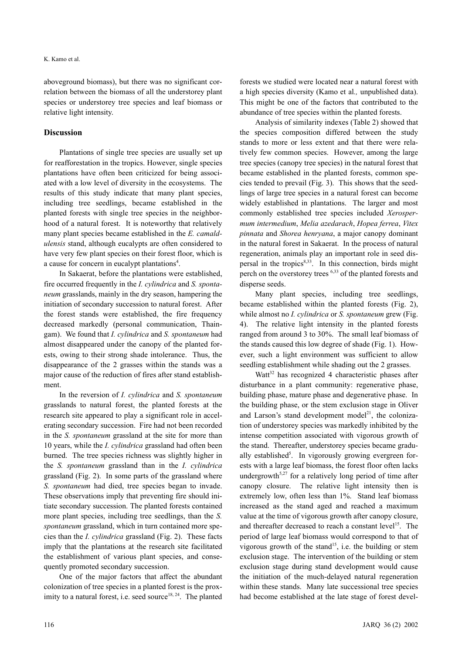#### K. Kamo et al.

aboveground biomass), but there was no significant correlation between the biomass of all the understorey plant species or understorey tree species and leaf biomass or relative light intensity.

## **Discussion**

Plantations of single tree species are usually set up for reafforestation in the tropics. However, single species plantations have often been criticized for being associated with a low level of diversity in the ecosystems. The results of this study indicate that many plant species, including tree seedlings, became established in the planted forests with single tree species in the neighborhood of a natural forest. It is noteworthy that relatively many plant species became established in the *E. camaldulensis* stand, although eucalypts are often considered to have very few plant species on their forest floor, which is a cause for concern in eucalypt plantations<sup>4</sup>.

In Sakaerat, before the plantations were established, fire occurred frequently in the *I. cylindrica* and *S. spontaneum* grasslands, mainly in the dry season, hampering the initiation of secondary succession to natural forest. After the forest stands were established, the fire frequency decreased markedly (personal communication, Thaingam). We found that *I. cylindrica* and *S. spontaneum* had almost disappeared under the canopy of the planted forests, owing to their strong shade intolerance. Thus, the disappearance of the 2 grasses within the stands was a major cause of the reduction of fires after stand establishment.

In the reversion of *I. cylindrica* and *S. spontaneum* grasslands to natural forest, the planted forests at the research site appeared to play a significant role in accelerating secondary succession. Fire had not been recorded in the *S. spontaneum* grassland at the site for more than 10 years, while the *I. cylindrica* grassland had often been burned. The tree species richness was slightly higher in the *S. spontaneum* grassland than in the *I. cylindrica* grassland (Fig. 2). In some parts of the grassland where *S. spontaneum* had died, tree species began to invade. These observations imply that preventing fire should initiate secondary succession. The planted forests contained more plant species, including tree seedlings, than the *S. spontaneum* grassland, which in turn contained more species than the *I. cylindrica* grassland (Fig. 2). These facts imply that the plantations at the research site facilitated the establishment of various plant species, and consequently promoted secondary succession.

One of the major factors that affect the abundant colonization of tree species in a planted forest is the proximity to a natural forest, i.e. seed source<sup>18, 24</sup>. The planted forests we studied were located near a natural forest with a high species diversity (Kamo et al*.,* unpublished data). This might be one of the factors that contributed to the abundance of tree species within the planted forests.

Analysis of similarity indexes (Table 2) showed that the species composition differed between the study stands to more or less extent and that there were relatively few common species. However, among the large tree species (canopy tree species) in the natural forest that became established in the planted forests, common species tended to prevail (Fig. 3). This shows that the seedlings of large tree species in a natural forest can become widely established in plantations. The larger and most commonly established tree species included *Xerospermum intermedium*, *Melia azedarach*, *Hopea ferrea*, *Vitex pinnata* and *Shorea henryana*, a major canopy dominant in the natural forest in Sakaerat. In the process of natural regeneration, animals play an important role in seed dispersal in the tropics $8,33$ . In this connection, birds might perch on the overstorey trees 6,33 of the planted forests and disperse seeds.

Many plant species, including tree seedlings, became established within the planted forests (Fig. 2), while almost no *I. cylindrica* or *S. spontaneum* grew (Fig. 4). The relative light intensity in the planted forests ranged from around 3 to 30%. The small leaf biomass of the stands caused this low degree of shade (Fig. 1). However, such a light environment was sufficient to allow seedling establishment while shading out the 2 grasses.

 $W$ att<sup>32</sup> has recognized 4 characteristic phases after disturbance in a plant community: regenerative phase, building phase, mature phase and degenerative phase. In the building phase, or the stem exclusion stage in Oliver and Larson's stand development model<sup>21</sup>, the colonization of understorey species was markedly inhibited by the intense competition associated with vigorous growth of the stand. Thereafter, understorey species became gradually established<sup>5</sup>. In vigorously growing evergreen forests with a large leaf biomass, the forest floor often lacks undergrowth<sup>5,27</sup> for a relatively long period of time after canopy closure. The relative light intensity then is extremely low, often less than 1%. Stand leaf biomass increased as the stand aged and reached a maximum value at the time of vigorous growth after canopy closure, and thereafter decreased to reach a constant level<sup>15</sup>. The period of large leaf biomass would correspond to that of vigorous growth of the stand<sup>15</sup>, i.e. the building or stem exclusion stage. The intervention of the building or stem exclusion stage during stand development would cause the initiation of the much-delayed natural regeneration within these stands. Many late successional tree species had become established at the late stage of forest devel-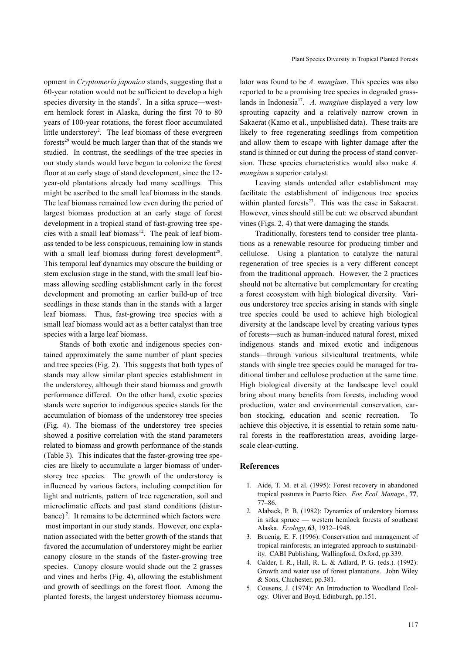opment in *Cryptomeria japonica* stands, suggesting that a 60-year rotation would not be sufficient to develop a high species diversity in the stands<sup>9</sup>. In a sitka spruce—western hemlock forest in Alaska, during the first 70 to 80 years of 100-year rotations, the forest floor accumulated little understorey<sup>2</sup>. The leaf biomass of these evergreen forests<sup>29</sup> would be much larger than that of the stands we studied. In contrast, the seedlings of the tree species in our study stands would have begun to colonize the forest floor at an early stage of stand development, since the 12 year-old plantations already had many seedlings. This might be ascribed to the small leaf biomass in the stands. The leaf biomass remained low even during the period of largest biomass production at an early stage of forest development in a tropical stand of fast-growing tree species with a small leaf biomass<sup>12</sup>. The peak of leaf biomass tended to be less conspicuous, remaining low in stands with a small leaf biomass during forest development<sup>28</sup>. This temporal leaf dynamics may obscure the building or stem exclusion stage in the stand, with the small leaf biomass allowing seedling establishment early in the forest development and promoting an earlier build-up of tree seedlings in these stands than in the stands with a larger leaf biomass. Thus, fast-growing tree species with a small leaf biomass would act as a better catalyst than tree species with a large leaf biomass.

Stands of both exotic and indigenous species contained approximately the same number of plant species and tree species (Fig. 2). This suggests that both types of stands may allow similar plant species establishment in the understorey, although their stand biomass and growth performance differed. On the other hand, exotic species stands were superior to indigenous species stands for the accumulation of biomass of the understorey tree species (Fig. 4). The biomass of the understorey tree species showed a positive correlation with the stand parameters related to biomass and growth performance of the stands (Table 3). This indicates that the faster-growing tree species are likely to accumulate a larger biomass of understorey tree species. The growth of the understorey is influenced by various factors, including competition for light and nutrients, pattern of tree regeneration, soil and microclimatic effects and past stand conditions (disturbance)<sup>2</sup>. It remains to be determined which factors were most important in our study stands. However, one explanation associated with the better growth of the stands that favored the accumulation of understorey might be earlier canopy closure in the stands of the faster-growing tree species. Canopy closure would shade out the 2 grasses and vines and herbs (Fig. 4), allowing the establishment and growth of seedlings on the forest floor. Among the planted forests, the largest understorey biomass accumulator was found to be *A. mangium*. This species was also reported to be a promising tree species in degraded grasslands in Indonesia<sup>17</sup>. *A. mangium* displayed a very low sprouting capacity and a relatively narrow crown in Sakaerat (Kamo et al., unpublished data). These traits are likely to free regenerating seedlings from competition and allow them to escape with lighter damage after the stand is thinned or cut during the process of stand conversion. These species characteristics would also make *A. mangium* a superior catalyst.

Leaving stands untended after establishment may facilitate the establishment of indigenous tree species within planted forests $23$ . This was the case in Sakaerat. However, vines should still be cut: we observed abundant vines (Figs. 2, 4) that were damaging the stands.

Traditionally, foresters tend to consider tree plantations as a renewable resource for producing timber and cellulose. Using a plantation to catalyze the natural regeneration of tree species is a very different concept from the traditional approach. However, the 2 practices should not be alternative but complementary for creating a forest ecosystem with high biological diversity. Various understorey tree species arising in stands with single tree species could be used to achieve high biological diversity at the landscape level by creating various types of forests—such as human-induced natural forest, mixed indigenous stands and mixed exotic and indigenous stands—through various silvicultural treatments, while stands with single tree species could be managed for traditional timber and cellulose production at the same time. High biological diversity at the landscape level could bring about many benefits from forests, including wood production, water and environmental conservation, carbon stocking, education and scenic recreation. To achieve this objective, it is essential to retain some natural forests in the reafforestation areas, avoiding largescale clear-cutting.

#### **References**

- 1. Aide, T. M. et al. (1995): Forest recovery in abandoned tropical pastures in Puerto Rico. *For. Ecol. Manage*., **77**, 77–86.
- 2. Alaback, P. B. (1982): Dynamics of understory biomass in sitka spruce — western hemlock forests of southeast Alaska. *Ecology*, **63**, 1932–1948.
- 3. Bruenig, E. F. (1996): Conservation and management of tropical rainforests; an integrated approach to sustainability. CABI Publishing, Wallingford, Oxford, pp.339.
- 4. Calder, I. R., Hall, R. L. & Adlard, P. G. (eds.). (1992): Growth and water use of forest plantations. John Wiley & Sons, Chichester, pp.381.
- 5. Cousens, J. (1974): An Introduction to Woodland Ecology. Oliver and Boyd, Edinburgh, pp.151.